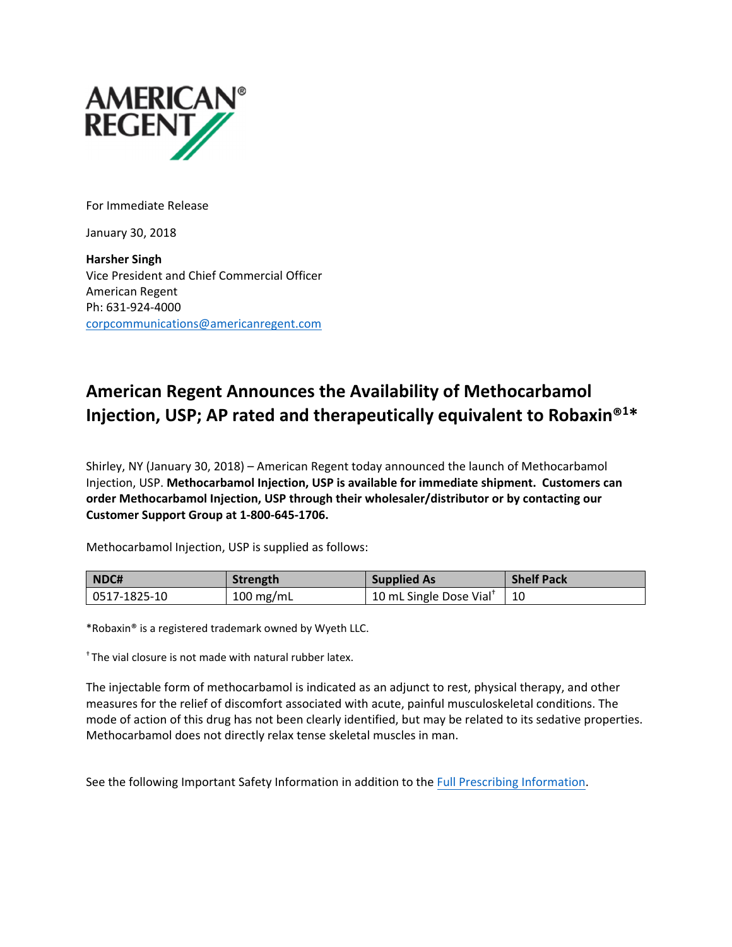

For Immediate Release

January 30, 2018

**Harsher Singh** Vice President and Chief Commercial Officer American Regent Ph: 631‐924‐4000 corpcommunications@americanregent.com

# **American Regent Announces the Availability of Methocarbamol Injection, USP; AP rated and therapeutically equivalent to Robaxin®1\***

Shirley, NY (January 30, 2018) – American Regent today announced the launch of Methocarbamol Injection, USP. **Methocarbamol Injection, USP is available for immediate shipment. Customers can order Methocarbamol Injection, USP through their wholesaler/distributor or by contacting our Customer Support Group at 1‐800‐645‐1706.**

Methocarbamol Injection, USP is supplied as follows:

| NDC#         | Strength    | <b>Supplied As</b>                  | <b>Shelf Pack</b> |
|--------------|-------------|-------------------------------------|-------------------|
| 0517-1825-10 | $100$ mg/mL | 10 mL Single Dose Vial <sup>+</sup> | $\vert$ 10        |

\*Robaxin® is a registered trademark owned by Wyeth LLC.

† The vial closure is not made with natural rubber latex.

The injectable form of methocarbamol is indicated as an adjunct to rest, physical therapy, and other measures for the relief of discomfort associated with acute, painful musculoskeletal conditions. The mode of action of this drug has not been clearly identified, but may be related to its sedative properties. Methocarbamol does not directly relax tense skeletal muscles in man.

See the following Important Safety Information in addition to the Full Prescribing [Information.](https://www.americanregent.com/media/1651/methocarbamol-prescribing-information.pdf)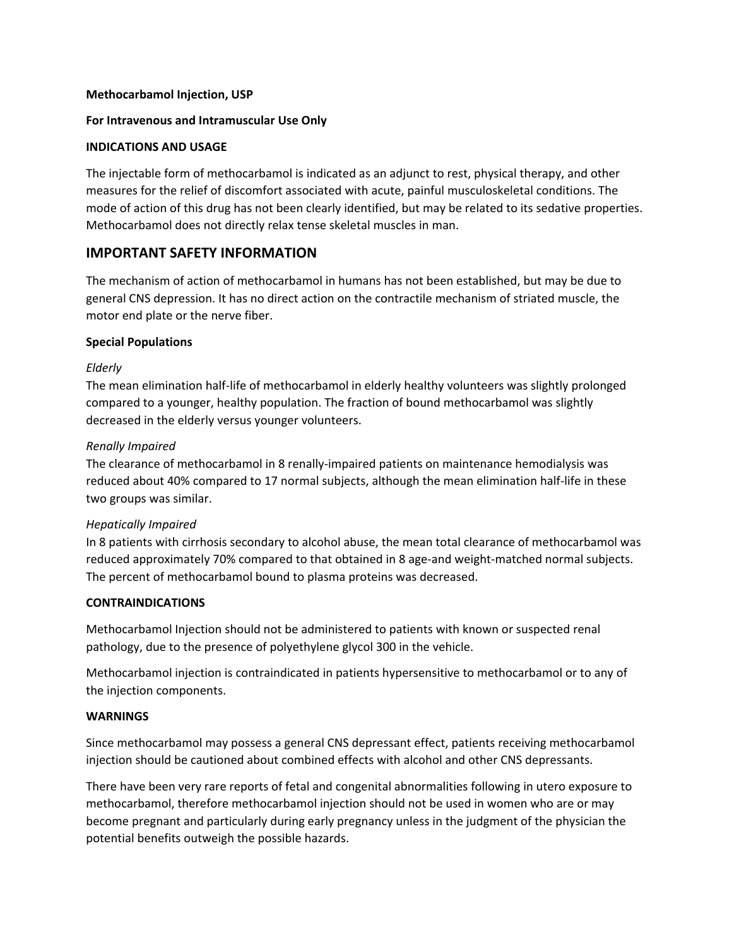### **Methocarbamol Injection, USP**

### **For Intravenous and Intramuscular Use Only**

### **INDICATIONS AND USAGE**

The injectable form of methocarbamol is indicated as an adjunct to rest, physical therapy, and other measures for the relief of discomfort associated with acute, painful musculoskeletal conditions. The mode of action of this drug has not been clearly identified, but may be related to its sedative properties. Methocarbamol does not directly relax tense skeletal muscles in man.

## **IMPORTANT SAFETY INFORMATION**

The mechanism of action of methocarbamol in humans has not been established, but may be due to general CNS depression. It has no direct action on the contractile mechanism of striated muscle, the motor end plate or the nerve fiber.

## **Special Populations**

### *Elderly*

The mean elimination half‐life of methocarbamol in elderly healthy volunteers was slightly prolonged compared to a younger, healthy population. The fraction of bound methocarbamol was slightly decreased in the elderly versus younger volunteers.

### *Renally Impaired*

The clearance of methocarbamol in 8 renally-impaired patients on maintenance hemodialysis was reduced about 40% compared to 17 normal subjects, although the mean elimination half‐life in these two groups was similar.

## *Hepatically Impaired*

In 8 patients with cirrhosis secondary to alcohol abuse, the mean total clearance of methocarbamol was reduced approximately 70% compared to that obtained in 8 age-and weight-matched normal subjects. The percent of methocarbamol bound to plasma proteins was decreased.

## **CONTRAINDICATIONS**

Methocarbamol Injection should not be administered to patients with known or suspected renal pathology, due to the presence of polyethylene glycol 300 in the vehicle.

Methocarbamol injection is contraindicated in patients hypersensitive to methocarbamol or to any of the injection components.

#### **WARNINGS**

Since methocarbamol may possess a general CNS depressant effect, patients receiving methocarbamol injection should be cautioned about combined effects with alcohol and other CNS depressants.

There have been very rare reports of fetal and congenital abnormalities following in utero exposure to methocarbamol, therefore methocarbamol injection should not be used in women who are or may become pregnant and particularly during early pregnancy unless in the judgment of the physician the potential benefits outweigh the possible hazards.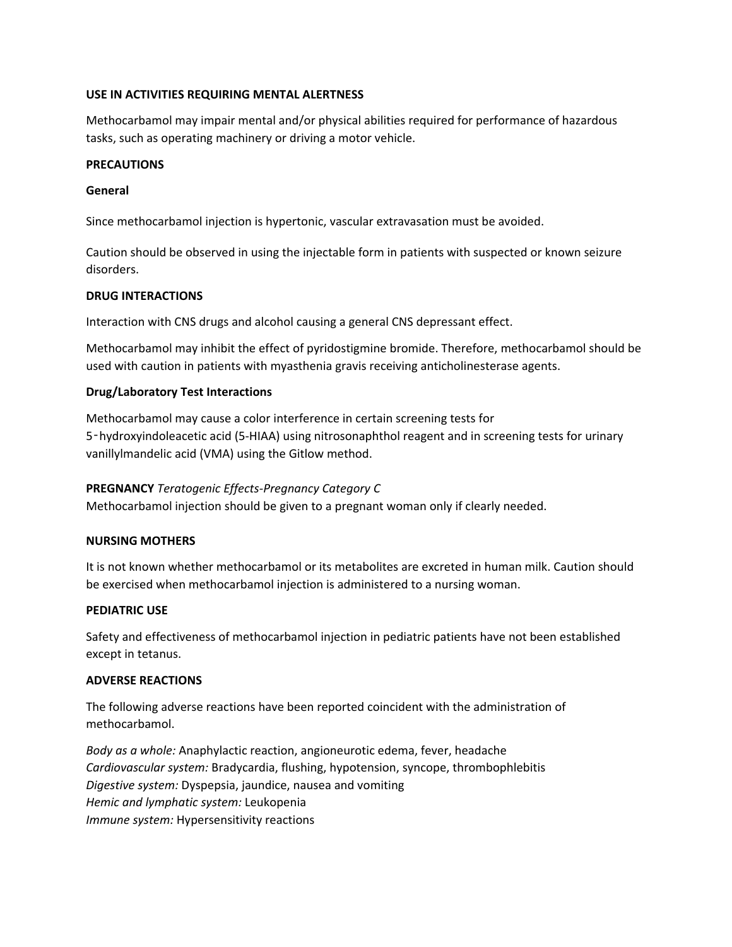## **USE IN ACTIVITIES REQUIRING MENTAL ALERTNESS**

Methocarbamol may impair mental and/or physical abilities required for performance of hazardous tasks, such as operating machinery or driving a motor vehicle.

## **PRECAUTIONS**

## **General**

Since methocarbamol injection is hypertonic, vascular extravasation must be avoided.

Caution should be observed in using the injectable form in patients with suspected or known seizure disorders.

## **DRUG INTERACTIONS**

Interaction with CNS drugs and alcohol causing a general CNS depressant effect.

Methocarbamol may inhibit the effect of pyridostigmine bromide. Therefore, methocarbamol should be used with caution in patients with myasthenia gravis receiving anticholinesterase agents.

## **Drug/Laboratory Test Interactions**

Methocarbamol may cause a color interference in certain screening tests for 5-hydroxyindoleacetic acid (5-HIAA) using nitrosonaphthol reagent and in screening tests for urinary vanillylmandelic acid (VMA) using the Gitlow method.

## **PREGNANCY** *Teratogenic Effects‐Pregnancy Category C*

Methocarbamol injection should be given to a pregnant woman only if clearly needed.

### **NURSING MOTHERS**

It is not known whether methocarbamol or its metabolites are excreted in human milk. Caution should be exercised when methocarbamol injection is administered to a nursing woman.

### **PEDIATRIC USE**

Safety and effectiveness of methocarbamol injection in pediatric patients have not been established except in tetanus.

#### **ADVERSE REACTIONS**

The following adverse reactions have been reported coincident with the administration of methocarbamol.

*Body as a whole:* Anaphylactic reaction, angioneurotic edema, fever, headache *Cardiovascular system:* Bradycardia, flushing, hypotension, syncope, thrombophlebitis *Digestive system:* Dyspepsia, jaundice, nausea and vomiting *Hemic and lymphatic system:* Leukopenia *Immune system:* Hypersensitivity reactions